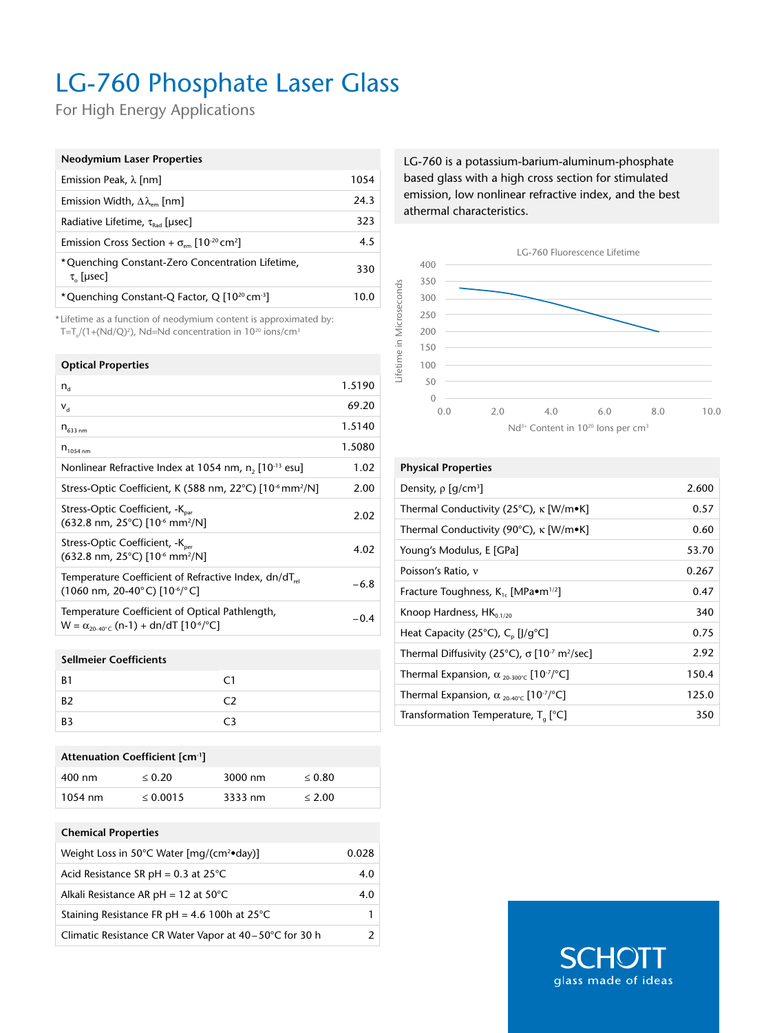## LG-760 Phosphate Laser Glass

For High Energy Applications

| <b>Neodymium Laser Properties</b>                                                  |      |
|------------------------------------------------------------------------------------|------|
| Emission Peak, $\lambda$ [nm]                                                      | 1054 |
| Emission Width, $\Delta\lambda_{\text{em}}$ [nm]                                   | 24.3 |
| Radiative Lifetime, $\tau_{\text{Rad}}$ [µsec]                                     | 323  |
| Emission Cross Section + $\sigma_{\text{em}}$ [10 <sup>-20</sup> cm <sup>2</sup> ] | 4.5  |
| *Quenching Constant-Zero Concentration Lifetime,<br>$\tau_{0}$ [µsec]              | 330  |
| *Quenching Constant-Q Factor, Q [10 <sup>20</sup> cm <sup>-3</sup> ]               | 10.0 |

\* Lifetime as a function of neodymium content is approximated by: T=T $_0$ /(1+(Nd/Q)<sup>2</sup>), Nd=Nd concentration in 10<sup>20</sup> ions/cm<sup>3</sup>

| <b>Optical Properties</b>                                                                                                                          |        |
|----------------------------------------------------------------------------------------------------------------------------------------------------|--------|
| $n_{\rm d}$                                                                                                                                        | 1.5190 |
| $V_{\rm d}$                                                                                                                                        | 69.20  |
| $n_{633\,nm}$                                                                                                                                      | 1.5140 |
| $n_{1054 \text{ nm}}$                                                                                                                              | 1.5080 |
| Nonlinear Refractive Index at 1054 nm, n, [10 <sup>-13</sup> esu]                                                                                  | 1.02   |
| Stress-Optic Coefficient, K (588 nm, 22°C) [10 <sup>-6</sup> mm <sup>2</sup> /N]                                                                   | 2.00   |
| Stress-Optic Coefficient, -K <sub>par</sub><br>$(632.8 \text{ nm}, 25^{\circ} \text{C})$ [10 <sup>-6</sup> mm <sup>2</sup> /N]                     | 2.02   |
| Stress-Optic Coefficient, -K <sub>per</sub><br>(632.8 nm, 25°C) [10 <sup>-6</sup> mm <sup>2</sup> /N]                                              | 4.02   |
| Temperature Coefficient of Refractive Index, dn/dT <sub>rel</sub><br>$(1060 \text{ nm}, 20-40^{\circ} \text{C})$ [10 <sup>-6</sup> / $^{\circ}$ C] | $-6.8$ |
| Temperature Coefficient of Optical Pathlength,<br>$W = \alpha_{20.40\degree}$ (n-1) + dn/dT [10 <sup>-6</sup> / <sup>o</sup> C]                    | -0.4   |
|                                                                                                                                                    |        |

### **Sellmeier Coefficients**

| B <sub>1</sub> | C1             |
|----------------|----------------|
| B <sub>2</sub> | C2             |
| B <sub>3</sub> | C <sub>3</sub> |

## **Attenuation Coefficient [cm-1]**

| 400 nm            | < 0.20        | 3000 nm | < 0.80 |
|-------------------|---------------|---------|--------|
| $1054 \text{ nm}$ | $\leq 0.0015$ | 3333 nm | < 2.00 |

#### **Chemical Properties**

| Weight Loss in 50°C Water [mg/(cm <sup>2</sup> •day)]  | 0.028        |
|--------------------------------------------------------|--------------|
| Acid Resistance SR pH = $0.3$ at 25 $^{\circ}$ C       | 4.0          |
| Alkali Resistance AR pH = $12$ at $50^{\circ}$ C       | 4.0          |
| Staining Resistance FR pH = 4.6 100h at $25^{\circ}$ C | 1.           |
| Climatic Resistance CR Water Vapor at 40–50°C for 30 h | $\mathbf{2}$ |

LG-760 is a potassium-barium-aluminum-phosphate based glass with a high cross section for stimulated emission, low nonlinear refractive index, and the best athermal characteristics.



#### **Physical Properties**

| Density, $\rho$ [g/cm <sup>3</sup> ]                                              | 2.600 |
|-----------------------------------------------------------------------------------|-------|
| Thermal Conductivity (25°C), $\kappa$ [W/m•K]                                     | 0.57  |
| Thermal Conductivity (90°C), K [W/m•K]                                            | 0.60  |
| Young's Modulus, E [GPa]                                                          | 53.70 |
| Poisson's Ratio, v                                                                | 0.267 |
| Fracture Toughness, $K_{1c}$ [MPa $\bullet$ m <sup>1/2</sup> ]                    | 0.47  |
| Knoop Hardness, $HK_{0.1/20}$                                                     | 340   |
| Heat Capacity (25°C), $C_{p}$ [J/g°C]                                             | 0.75  |
| Thermal Diffusivity (25°C), $\sigma$ [10 <sup>-7</sup> m <sup>2</sup> /sec]       | 2.92  |
| Thermal Expansion, $\alpha_{20-300^{\circ}C}$ [10 <sup>-7</sup> / <sup>°</sup> C] | 150.4 |
| Thermal Expansion, $\alpha_{20-40^{\circ}C}$ [10 <sup>-7</sup> / <sup>°</sup> C]  | 125.0 |
| Transformation Temperature, $T_a$ [°C]                                            | 350   |